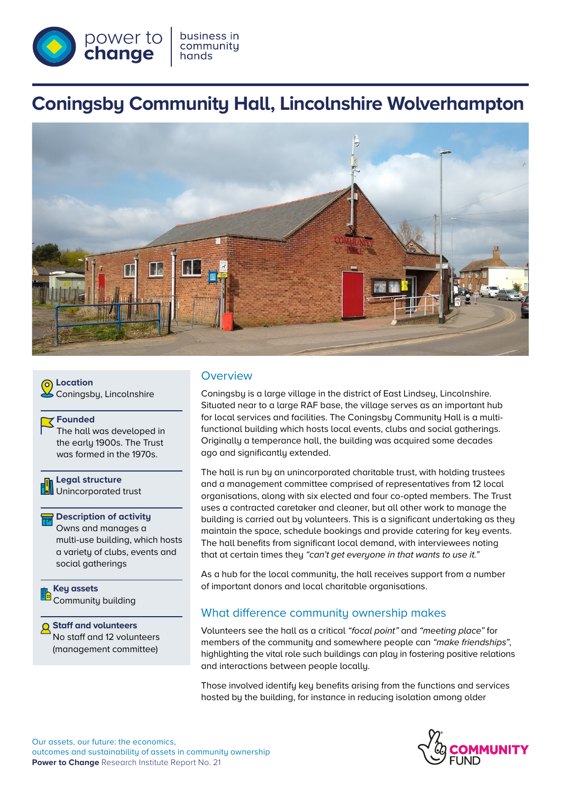

# **Coningsby Community Hall, Lincolnshire Wolverhampton**



**Q** Location Coningsby, Lincolnshire

#### **Founded**

The hall was developed in the early 1900s. The Trust was formed in the 1970s.

**Legal structure** Unincorporated trust

#### **Description of activity**

Owns and manages a multi-use building, which hosts a variety of clubs, events and social gatherings

**Key assets** Community building

**Staff and volunteers** No staff and 12 volunteers (management committee)

### **Overview**

Coningsby is a large village in the district of East Lindsey, Lincolnshire. Situated near to a large RAF base, the village serves as an important hub for local services and facilities. The Coningsby Community Hall is a multifunctional building which hosts local events, clubs and social gatherings. Originally a temperance hall, the building was acquired some decades ago and significantly extended.

The hall is run by an unincorporated charitable trust, with holding trustees and a management committee comprised of representatives from 12 local organisations, along with six elected and four co-opted members. The Trust uses a contracted caretaker and cleaner, but all other work to manage the building is carried out by volunteers. This is a significant undertaking as they maintain the space, schedule bookings and provide catering for key events. The hall benefits from significant local demand, with interviewees noting that at certain times they *"can't get everyone in that wants to use it."*

As a hub for the local community, the hall receives support from a number of important donors and local charitable organisations.

### What difference communitu ownership makes

Volunteers see the hall as a critical *"focal point"* and *"meeting place"* for members of the community and somewhere people can *"make friendships"*, highlighting the vital role such buildings can play in fostering positive relations and interactions between people locally.

Those involved identify key benefits arising from the functions and services hosted by the building, for instance in reducing isolation among older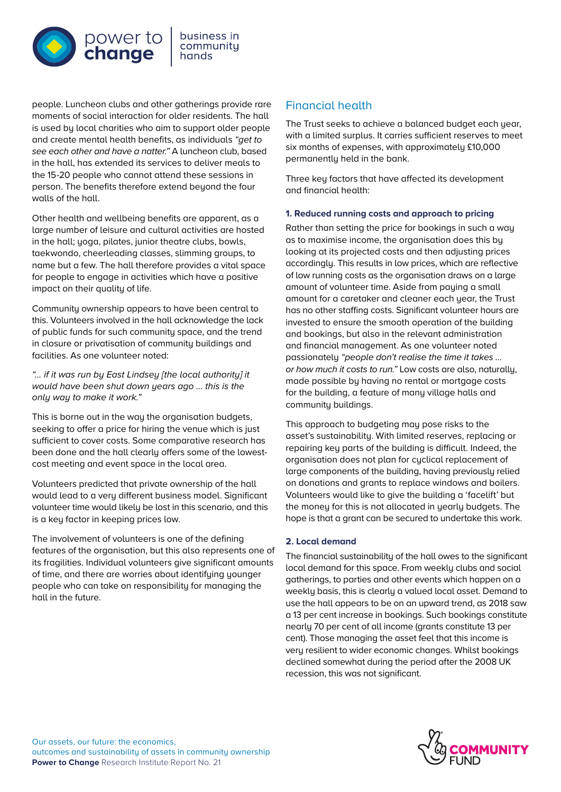

people. Luncheon clubs and other gatherings provide rare moments of social interaction for older residents. The hall is used by local charities who aim to support older people and create mental health benefits, as individuals *"get to see each other and have a natter."* A luncheon club, based in the hall, has extended its services to deliver meals to the 15-20 people who cannot attend these sessions in person. The benefits therefore extend beyond the four walls of the hall.

Other health and wellbeing benefits are apparent, as a large number of leisure and cultural activities are hosted in the hall; yoga, pilates, junior theatre clubs, bowls, taekwondo, cheerleading classes, slimming groups, to name but a few. The hall therefore provides a vital space for people to engage in activities which have a positive impact on their quality of life.

Community ownership appears to have been central to this. Volunteers involved in the hall acknowledge the lack of public funds for such community space, and the trend in closure or privatisation of community buildings and facilities. As one volunteer noted:

*"… if it was run by East Lindsey [the local authority] it would have been shut down years ago … this is the only way to make it work."* 

This is borne out in the way the organisation budgets, seeking to offer a price for hiring the venue which is just sufficient to cover costs. Some comparative research has been done and the hall clearly offers some of the lowestcost meeting and event space in the local area.

Volunteers predicted that private ownership of the hall would lead to a very different business model. Significant volunteer time would likely be lost in this scenario, and this is a key factor in keeping prices low.

The involvement of volunteers is one of the defining features of the organisation, but this also represents one of its fragilities. Individual volunteers give significant amounts of time, and there are worries about identifying younger people who can take on responsibility for managing the hall in the future.

# Financial health

The Trust seeks to achieve a balanced budget each year, with a limited surplus. It carries sufficient reserves to meet six months of expenses, with approximately £10,000 permanently held in the bank.

Three key factors that have affected its development and financial health:

### **1. Reduced running costs and approach to pricing**

Rather than setting the price for bookings in such a way as to maximise income, the organisation does this by looking at its projected costs and then adjusting prices accordingly. This results in low prices, which are reflective of low running costs as the organisation draws on a large amount of volunteer time. Aside from paying a small amount for a caretaker and cleaner each year, the Trust has no other staffing costs. Significant volunteer hours are invested to ensure the smooth operation of the building and bookings, but also in the relevant administration and financial management. As one volunteer noted passionately *"people don't realise the time it takes … or how much it costs to run."* Low costs are also, naturally, made possible by having no rental or mortgage costs for the building, a feature of many village halls and community buildings.

This approach to budgeting may pose risks to the asset's sustainability. With limited reserves, replacing or repairing key parts of the building is difficult. Indeed, the organisation does not plan for cyclical replacement of large components of the building, having previously relied on donations and grants to replace windows and boilers. Volunteers would like to give the building a 'facelift' but the money for this is not allocated in yearly budgets. The hope is that a grant can be secured to undertake this work.

### **2. Local demand**

The financial sustainability of the hall owes to the significant local demand for this space. From weekly clubs and social gatherings, to parties and other events which happen on a weekly basis, this is clearly a valued local asset. Demand to use the hall appears to be on an upward trend, as 2018 saw a 13 per cent increase in bookings. Such bookings constitute nearly 70 per cent of all income (grants constitute 13 per cent). Those managing the asset feel that this income is very resilient to wider economic changes. Whilst bookings declined somewhat during the period after the 2008 UK recession, this was not significant.